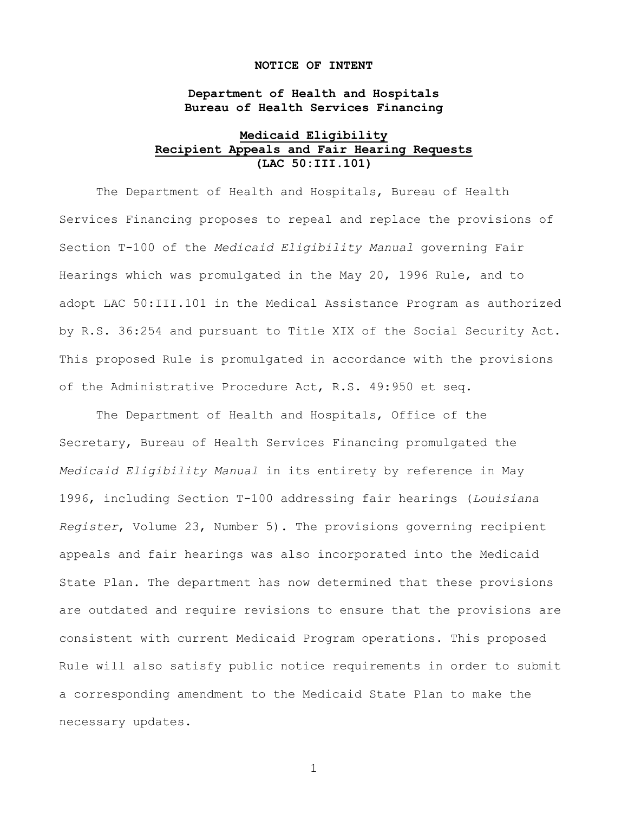#### **NOTICE OF INTENT**

# **Department of Health and Hospitals Bureau of Health Services Financing**

## **Medicaid Eligibility Recipient Appeals and Fair Hearing Requests (LAC 50:III.101)**

The Department of Health and Hospitals, Bureau of Health Services Financing proposes to repeal and replace the provisions of Section T-100 of the *Medicaid Eligibility Manual* governing Fair Hearings which was promulgated in the May 20, 1996 Rule, and to adopt LAC 50:III.101 in the Medical Assistance Program as authorized by R.S. 36:254 and pursuant to Title XIX of the Social Security Act. This proposed Rule is promulgated in accordance with the provisions of the Administrative Procedure Act, R.S. 49:950 et seq.

The Department of Health and Hospitals, Office of the Secretary, Bureau of Health Services Financing promulgated the *Medicaid Eligibility Manual* in its entirety by reference in May 1996, including Section T-100 addressing fair hearings (*Louisiana Register*, Volume 23, Number 5). The provisions governing recipient appeals and fair hearings was also incorporated into the Medicaid State Plan. The department has now determined that these provisions are outdated and require revisions to ensure that the provisions are consistent with current Medicaid Program operations. This proposed Rule will also satisfy public notice requirements in order to submit a corresponding amendment to the Medicaid State Plan to make the necessary updates.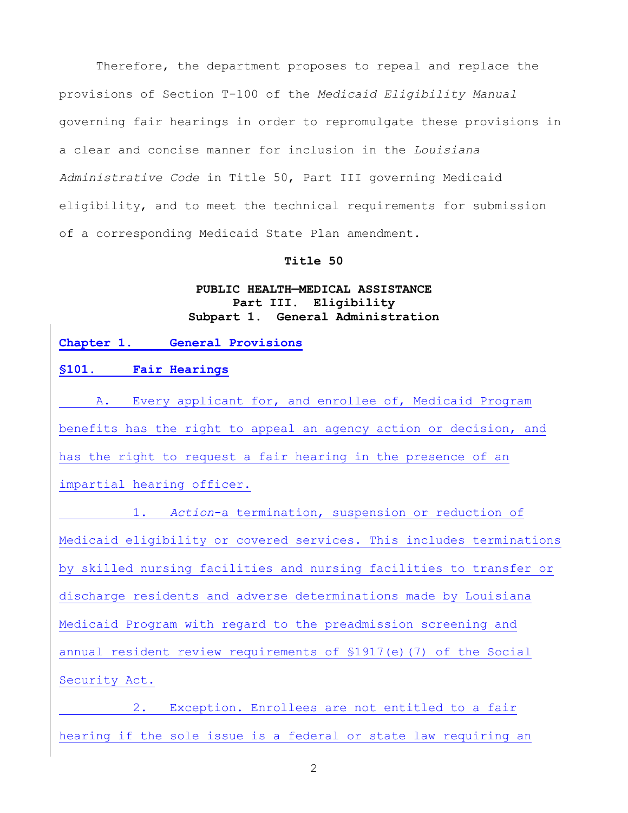Therefore, the department proposes to repeal and replace the provisions of Section T-100 of the *Medicaid Eligibility Manual*  governing fair hearings in order to repromulgate these provisions in a clear and concise manner for inclusion in the *Louisiana Administrative Code* in Title 50, Part III governing Medicaid eligibility, and to meet the technical requirements for submission of a corresponding Medicaid State Plan amendment.

### **Title 50**

# **PUBLIC HEALTH—MEDICAL ASSISTANCE Part III. Eligibility Subpart 1. General Administration**

#### **Chapter 1. General Provisions**

# **§101. Fair Hearings**

A. Every applicant for, and enrollee of, Medicaid Program benefits has the right to appeal an agency action or decision, and has the right to request a fair hearing in the presence of an impartial hearing officer.

1. *Action*-a termination, suspension or reduction of Medicaid eligibility or covered services. This includes terminations by skilled nursing facilities and nursing facilities to transfer or discharge residents and adverse determinations made by Louisiana Medicaid Program with regard to the preadmission screening and annual resident review requirements of  $$1917(e)$  (7) of the Social Security Act.

2. Exception. Enrollees are not entitled to a fair hearing if the sole issue is a federal or state law requiring an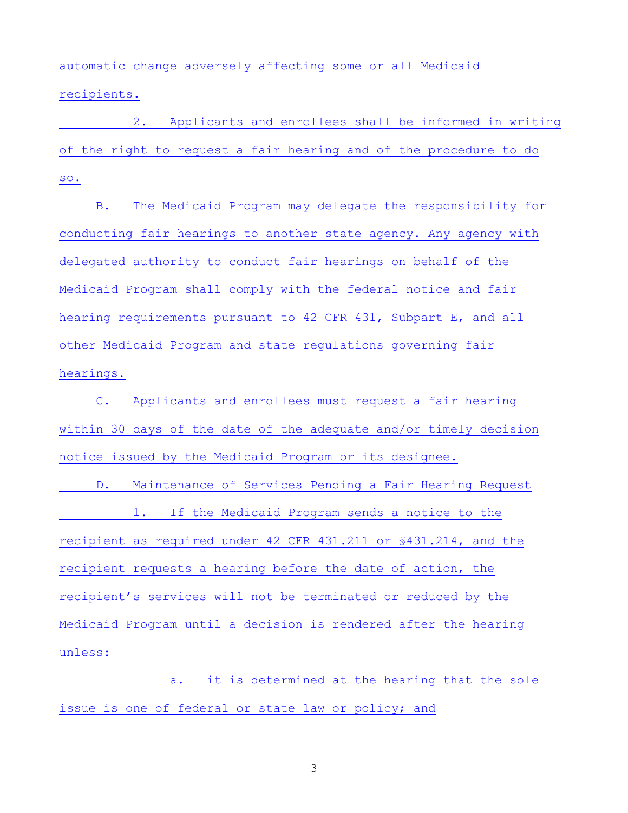automatic change adversely affecting some or all Medicaid recipients.

2. Applicants and enrollees shall be informed in writing of the right to request a fair hearing and of the procedure to do so.

B. The Medicaid Program may delegate the responsibility for conducting fair hearings to another state agency. Any agency with delegated authority to conduct fair hearings on behalf of the Medicaid Program shall comply with the federal notice and fair hearing requirements pursuant to 42 CFR 431, Subpart E, and all other Medicaid Program and state regulations governing fair hearings.

C. Applicants and enrollees must request a fair hearing within 30 days of the date of the adequate and/or timely decision notice issued by the Medicaid Program or its designee.

D. Maintenance of Services Pending a Fair Hearing Request 1. If the Medicaid Program sends a notice to the recipient as required under 42 CFR 431.211 or §431.214, and the recipient requests a hearing before the date of action, the recipient's services will not be terminated or reduced by the Medicaid Program until a decision is rendered after the hearing unless:

a. it is determined at the hearing that the sole issue is one of federal or state law or policy; and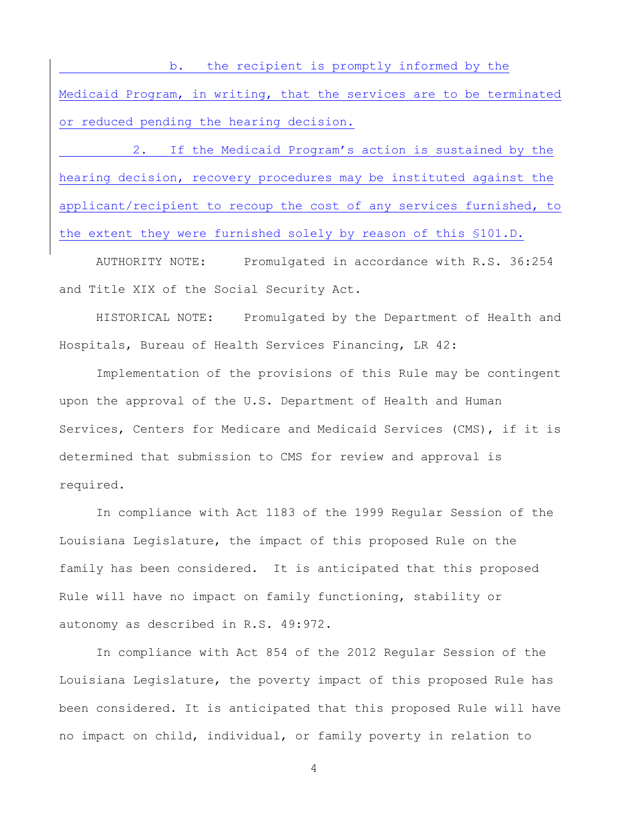b. the recipient is promptly informed by the Medicaid Program, in writing, that the services are to be terminated or reduced pending the hearing decision.

2. If the Medicaid Program's action is sustained by the hearing decision, recovery procedures may be instituted against the applicant/recipient to recoup the cost of any services furnished, to the extent they were furnished solely by reason of this §101.D.

AUTHORITY NOTE: Promulgated in accordance with R.S. 36:254 and Title XIX of the Social Security Act.

HISTORICAL NOTE: Promulgated by the Department of Health and Hospitals, Bureau of Health Services Financing, LR 42:

Implementation of the provisions of this Rule may be contingent upon the approval of the U.S. Department of Health and Human Services, Centers for Medicare and Medicaid Services (CMS), if it is determined that submission to CMS for review and approval is required.

In compliance with Act 1183 of the 1999 Regular Session of the Louisiana Legislature, the impact of this proposed Rule on the family has been considered. It is anticipated that this proposed Rule will have no impact on family functioning, stability or autonomy as described in R.S. 49:972.

In compliance with Act 854 of the 2012 Regular Session of the Louisiana Legislature, the poverty impact of this proposed Rule has been considered. It is anticipated that this proposed Rule will have no impact on child, individual, or family poverty in relation to